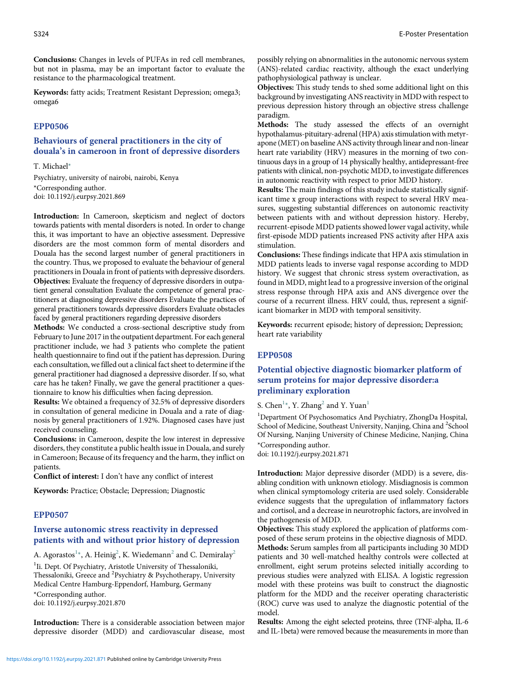Conclusions: Changes in levels of PUFAs in red cell membranes, but not in plasma, may be an important factor to evaluate the resistance to the pharmacological treatment.

Keywords: fatty acids; Treatment Resistant Depression; omega3; omega6

#### EPP0506

### Behaviours of general practitioners in the city of douala's in cameroon in front of depressive disorders

T. Michael\* Psychiatry, university of nairobi, nairobi, Kenya \*Corresponding author. doi: 10.1192/j.eurpsy.2021.869

Introduction: In Cameroon, skepticism and neglect of doctors towards patients with mental disorders is noted. In order to change this, it was important to have an objective assessment. Depressive disorders are the most common form of mental disorders and Douala has the second largest number of general practitioners in the country. Thus, we proposed to evaluate the behaviour of general practitioners in Douala in front of patients with depressive disorders. Objectives: Evaluate the frequency of depressive disorders in outpatient general consultation Evaluate the competence of general practitioners at diagnosing depressive disorders Evaluate the practices of general practitioners towards depressive disorders Evaluate obstacles faced by general practitioners regarding depressive disorders

Methods: We conducted a cross-sectional descriptive study from February to June 2017 in the outpatient department. For each general practitioner include, we had 3 patients who complete the patient health questionnaire to find out if the patient has depression. During each consultation, we filled out a clinical fact sheet to determine if the general practitioner had diagnosed a depressive disorder. If so, what care has he taken? Finally, we gave the general practitioner a questionnaire to know his difficulties when facing depression.

Results: We obtained a frequency of 32.5% of depressive disorders in consultation of general medicine in Douala and a rate of diagnosis by general practitioners of 1.92%. Diagnosed cases have just received counseling.

Conclusions: in Cameroon, despite the low interest in depressive disorders, they constitute a public health issue in Douala, and surely in Cameroon; Because of its frequency and the harm, they inflict on patients.

Conflict of interest: I don't have any conflict of interest

Keywords: Practice; Obstacle; Depression; Diagnostic

### EPP0507

### Inverse autonomic stress reactivity in depressed patients with and without prior history of depression

A. Agorastos<sup>1</sup>\*, A. Heinig<sup>2</sup>, K. Wiedemann<sup>2</sup> and C. Demiralay<sup>2</sup>

<sup>1</sup>Ii. Dept. Of Psychiatry, Aristotle University of Thessaloniki, Thessaloniki, Greece and <sup>2</sup>Psychiatry & Psychotherapy, University Medical Centre Hamburg-Eppendorf, Hamburg, Germany \*Corresponding author. doi: 10.1192/j.eurpsy.2021.870

Introduction: There is a considerable association between major depressive disorder (MDD) and cardiovascular disease, most possibly relying on abnormalities in the autonomic nervous system (ANS)-related cardiac reactivity, although the exact underlying pathophysiological pathway is unclear.

Objectives: This study tends to shed some additional light on this background by investigating ANS reactivity in MDD with respect to previous depression history through an objective stress challenge paradigm.

Methods: The study assessed the effects of an overnight hypothalamus-pituitary-adrenal (HPA) axis stimulation with metyrapone (MET) on baseline ANS activity through linear and non-linear heart rate variability (HRV) measures in the morning of two continuous days in a group of 14 physically healthy, antidepressant-free patients with clinical, non-psychotic MDD, to investigate differences in autonomic reactivity with respect to prior MDD history.

Results: The main findings of this study include statistically significant time x group interactions with respect to several HRV measures, suggesting substantial differences on autonomic reactivity between patients with and without depression history. Hereby, recurrent-episode MDD patients showed lower vagal activity, while first-episode MDD patients increased PNS activity after HPA axis stimulation.

Conclusions: These findings indicate that HPA axis stimulation in MDD patients leads to inverse vagal response according to MDD history. We suggest that chronic stress system overactivation, as found in MDD, might lead to a progressive inversion of the original stress response through HPA axis and ANS divergence over the course of a recurrent illness. HRV could, thus, represent a significant biomarker in MDD with temporal sensitivity.

Keywords: recurrent episode; history of depression; Depression; heart rate variability

#### EPP0508

# Potential objective diagnostic biomarker platform of serum proteins for major depressive disorder:a preliminary exploration

S. Chen<sup>1\*</sup>, Y. Zhang<sup>2</sup> and Y. Yuan<sup>1</sup>

<sup>1</sup>Department Of Psychosomatics And Psychiatry, ZhongDa Hospital, School of Medicine, Southeast University, Nanjing, China and <sup>2</sup>School Of Nursing, Nanjing University of Chinese Medicine, Nanjing, China \*Corresponding author.

doi: 10.1192/j.eurpsy.2021.871

Introduction: Major depressive disorder (MDD) is a severe, disabling condition with unknown etiology. Misdiagnosis is common when clinical symptomology criteria are used solely. Considerable evidence suggests that the upregulation of inflammatory factors and cortisol, and a decrease in neurotrophic factors, are involved in the pathogenesis of MDD.

Objectives: This study explored the application of platforms composed of these serum proteins in the objective diagnosis of MDD. Methods: Serum samples from all participants including 30 MDD patients and 30 well-matched healthy controls were collected at enrollment, eight serum proteins selected initially according to previous studies were analyzed with ELISA. A logistic regression model with these proteins was built to construct the diagnostic platform for the MDD and the receiver operating characteristic (ROC) curve was used to analyze the diagnostic potential of the model.

Results: Among the eight selected proteins, three (TNF-alpha, IL-6 and IL-1beta) were removed because the measurements in more than